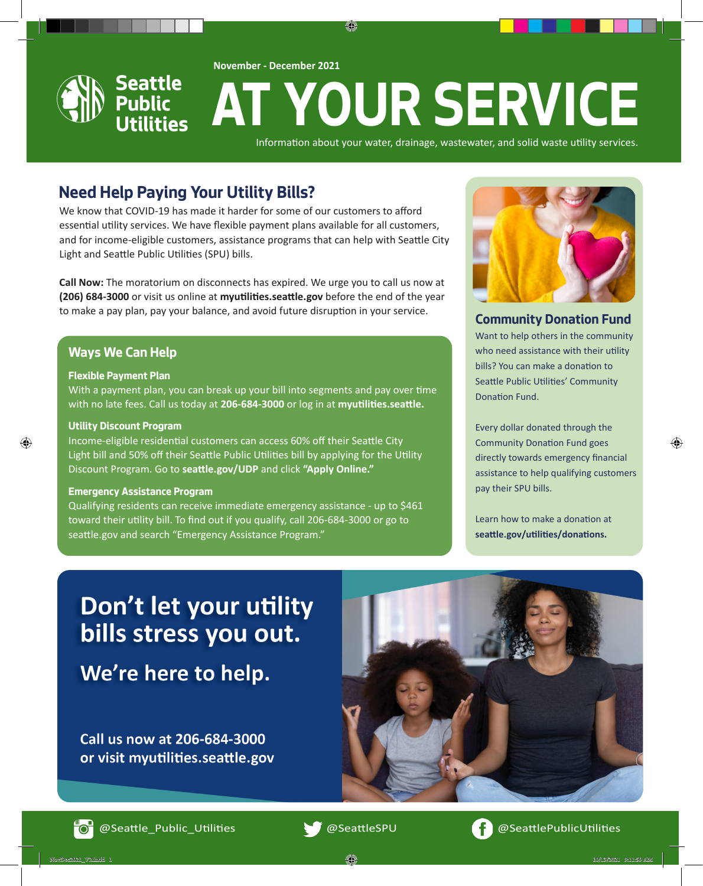

€



# **AT YOUR SERVICE**

Information about your water, drainage, wastewater, and solid waste utility services.

# **Need Help Paying Your Utility Bills?**

We know that COVID-19 has made it harder for some of our customers to afford essential utility services. We have flexible payment plans available for all customers, and for income-eligible customers, assistance programs that can help with Seattle City Light and Seattle Public Utilities (SPU) bills.

**Call Now:** The moratorium on disconnects has expired. We urge you to call us now at **(206) 684-3000** or visit us online at **myutilities.seattle.gov** before the end of the year to make a pay plan, pay your balance, and avoid future disruption in your service.<br> **Community Donation Fund** 

#### **Ways We Can Help**

#### **Flexible Payment Plan**

With a payment plan, you can break up your bill into segments and pay over time with no late fees. Call us today at **206-684-3000** or log in at **myutilities.seattle.**

#### **Utility Discount Program**

⊕

Income-eligible residential customers can access 60% off their Seattle City Light bill and 50% off their Seattle Public Utilities bill by applying for the Utility Discount Program. Go to **seattle.gov/UDP** and click **"Apply Online."**

#### **Emergency Assistance Program**

Qualifying residents can receive immediate emergency assistance - up to \$461 toward their utility bill. To find out if you qualify, call 206-684-3000 or go to seattle.gov and search "Emergency Assistance Program."



Want to help others in the community who need assistance with their utility bills? You can make a donation to Seattle Public Utilities' Community Donation Fund.

Every dollar donated through the Community Donation Fund goes directly towards emergency financial assistance to help qualifying customers pay their SPU bills.

⊕

Learn how to make a donation at **seattle.gov/utilities/donations.**

# Don't let your utility bills stress you out.

We're here to help.

Call us now at 206-684-3000 or visit myutilities.seattle.gov



@Seattle\_Public\_Utilities @SeattleSPU @SeattlePublicUtilities



NovDec2021\_V2.indd 1 10/13/2021 9:11:59 AM